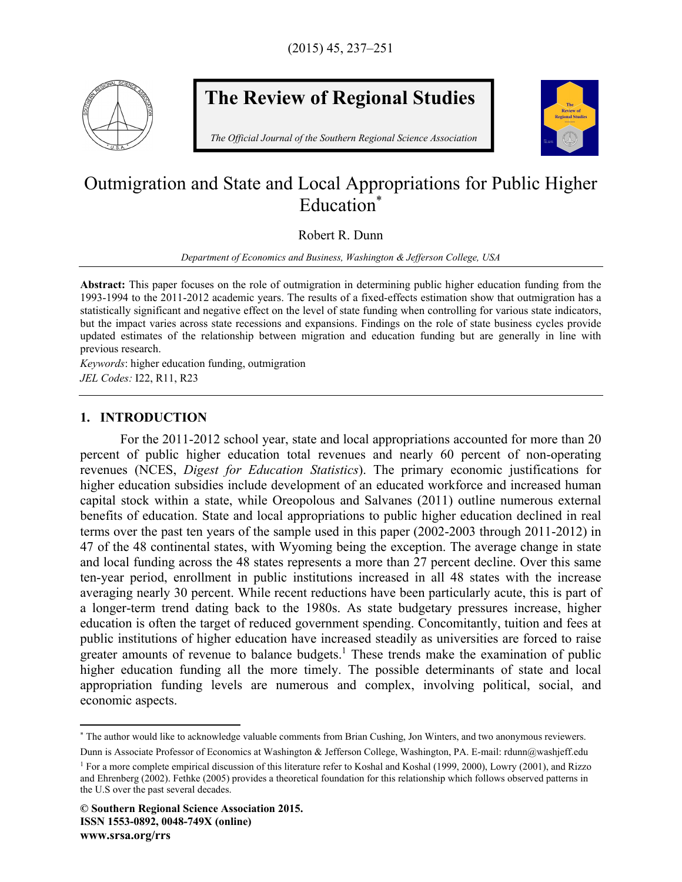

# **The Review of Regional Studies**

*The Official Journal of the Southern Regional Science Association* 



## Outmigration and State and Local Appropriations for Public Higher Education\*

Robert R. Dunn

*Department of Economics and Business, Washington & Jefferson College, USA* 

**Abstract:** This paper focuses on the role of outmigration in determining public higher education funding from the 1993-1994 to the 2011-2012 academic years. The results of a fixed-effects estimation show that outmigration has a statistically significant and negative effect on the level of state funding when controlling for various state indicators, but the impact varies across state recessions and expansions. Findings on the role of state business cycles provide updated estimates of the relationship between migration and education funding but are generally in line with previous research.

*Keywords*: higher education funding, outmigration *JEL Codes:* I22, R11, R23

### **1. INTRODUCTION**

 $\overline{a}$ 

For the 2011-2012 school year, state and local appropriations accounted for more than 20 percent of public higher education total revenues and nearly 60 percent of non-operating revenues (NCES, *Digest for Education Statistics*). The primary economic justifications for higher education subsidies include development of an educated workforce and increased human capital stock within a state, while Oreopolous and Salvanes (2011) outline numerous external benefits of education. State and local appropriations to public higher education declined in real terms over the past ten years of the sample used in this paper (2002-2003 through 2011-2012) in 47 of the 48 continental states, with Wyoming being the exception. The average change in state and local funding across the 48 states represents a more than 27 percent decline. Over this same ten-year period, enrollment in public institutions increased in all 48 states with the increase averaging nearly 30 percent. While recent reductions have been particularly acute, this is part of a longer-term trend dating back to the 1980s. As state budgetary pressures increase, higher education is often the target of reduced government spending. Concomitantly, tuition and fees at public institutions of higher education have increased steadily as universities are forced to raise greater amounts of revenue to balance budgets.<sup>1</sup> These trends make the examination of public higher education funding all the more timely. The possible determinants of state and local appropriation funding levels are numerous and complex, involving political, social, and economic aspects.

Dunn is Associate Professor of Economics at Washington & Jefferson College, Washington, PA. E-mail: rdunn@washjeff.edu

<sup>\*</sup> The author would like to acknowledge valuable comments from Brian Cushing, Jon Winters, and two anonymous reviewers.

<sup>1</sup> For a more complete empirical discussion of this literature refer to Koshal and Koshal (1999, 2000), Lowry (2001), and Rizzo and Ehrenberg (2002). Fethke (2005) provides a theoretical foundation for this relationship which follows observed patterns in the U.S over the past several decades.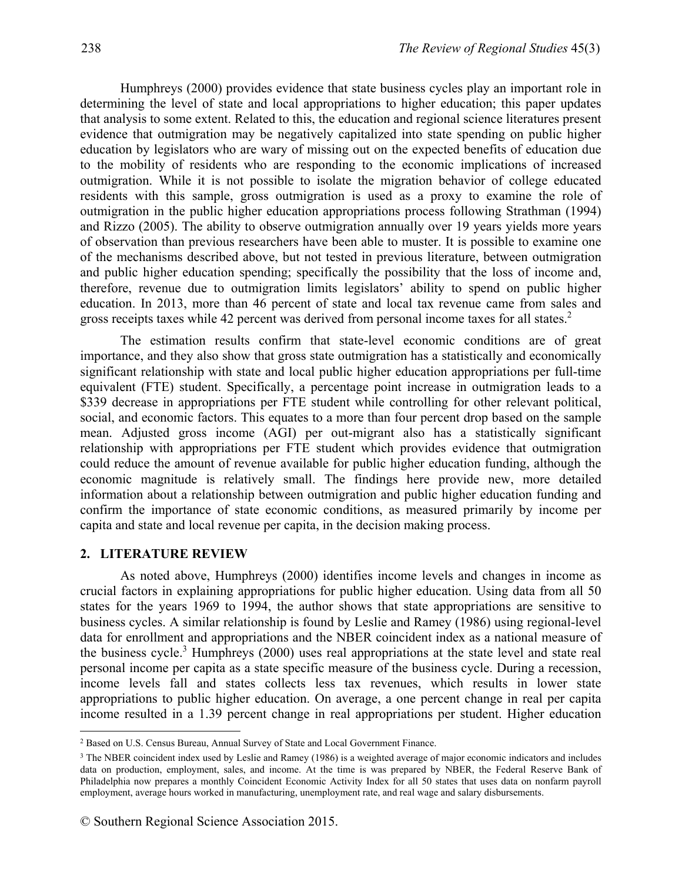Humphreys (2000) provides evidence that state business cycles play an important role in determining the level of state and local appropriations to higher education; this paper updates that analysis to some extent. Related to this, the education and regional science literatures present evidence that outmigration may be negatively capitalized into state spending on public higher education by legislators who are wary of missing out on the expected benefits of education due to the mobility of residents who are responding to the economic implications of increased outmigration. While it is not possible to isolate the migration behavior of college educated residents with this sample, gross outmigration is used as a proxy to examine the role of outmigration in the public higher education appropriations process following Strathman (1994) and Rizzo (2005). The ability to observe outmigration annually over 19 years yields more years of observation than previous researchers have been able to muster. It is possible to examine one of the mechanisms described above, but not tested in previous literature, between outmigration and public higher education spending; specifically the possibility that the loss of income and, therefore, revenue due to outmigration limits legislators' ability to spend on public higher education. In 2013, more than 46 percent of state and local tax revenue came from sales and gross receipts taxes while 42 percent was derived from personal income taxes for all states.<sup>2</sup>

The estimation results confirm that state-level economic conditions are of great importance, and they also show that gross state outmigration has a statistically and economically significant relationship with state and local public higher education appropriations per full-time equivalent (FTE) student. Specifically, a percentage point increase in outmigration leads to a \$339 decrease in appropriations per FTE student while controlling for other relevant political, social, and economic factors. This equates to a more than four percent drop based on the sample mean. Adjusted gross income (AGI) per out-migrant also has a statistically significant relationship with appropriations per FTE student which provides evidence that outmigration could reduce the amount of revenue available for public higher education funding, although the economic magnitude is relatively small. The findings here provide new, more detailed information about a relationship between outmigration and public higher education funding and confirm the importance of state economic conditions, as measured primarily by income per capita and state and local revenue per capita, in the decision making process.

#### **2. LITERATURE REVIEW**

1

As noted above, Humphreys (2000) identifies income levels and changes in income as crucial factors in explaining appropriations for public higher education. Using data from all 50 states for the years 1969 to 1994, the author shows that state appropriations are sensitive to business cycles. A similar relationship is found by Leslie and Ramey (1986) using regional-level data for enrollment and appropriations and the NBER coincident index as a national measure of the business cycle.<sup>3</sup> Humphreys (2000) uses real appropriations at the state level and state real personal income per capita as a state specific measure of the business cycle. During a recession, income levels fall and states collects less tax revenues, which results in lower state appropriations to public higher education. On average, a one percent change in real per capita income resulted in a 1.39 percent change in real appropriations per student. Higher education

<sup>2</sup> Based on U.S. Census Bureau, Annual Survey of State and Local Government Finance.

<sup>&</sup>lt;sup>3</sup> The NBER coincident index used by Leslie and Ramey (1986) is a weighted average of major economic indicators and includes data on production, employment, sales, and income. At the time is was prepared by NBER, the Federal Reserve Bank of Philadelphia now prepares a monthly Coincident Economic Activity Index for all 50 states that uses data on nonfarm payroll employment, average hours worked in manufacturing, unemployment rate, and real wage and salary disbursements.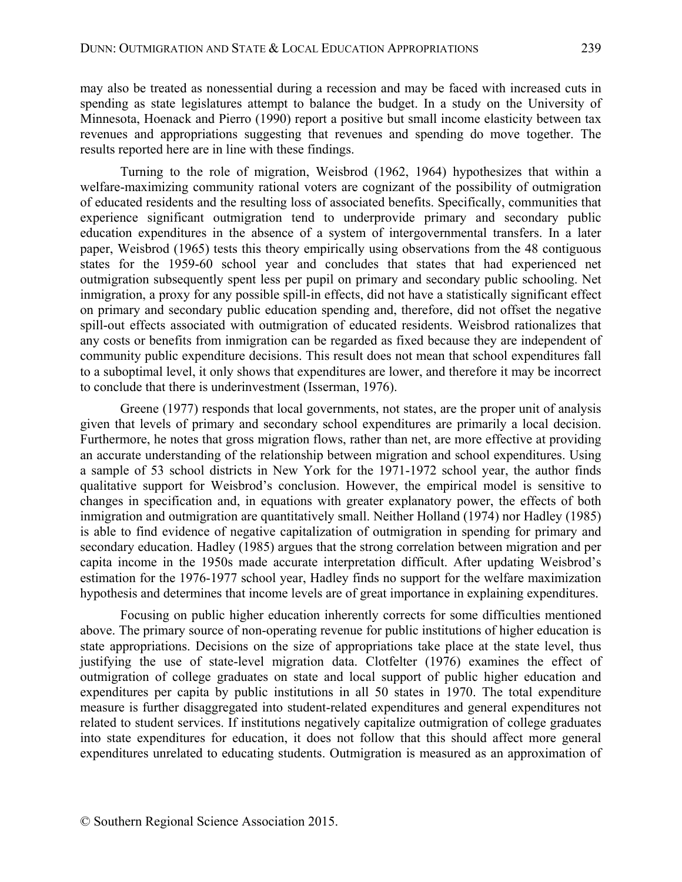may also be treated as nonessential during a recession and may be faced with increased cuts in spending as state legislatures attempt to balance the budget. In a study on the University of Minnesota, Hoenack and Pierro (1990) report a positive but small income elasticity between tax revenues and appropriations suggesting that revenues and spending do move together. The results reported here are in line with these findings.

Turning to the role of migration, Weisbrod (1962, 1964) hypothesizes that within a welfare-maximizing community rational voters are cognizant of the possibility of outmigration of educated residents and the resulting loss of associated benefits. Specifically, communities that experience significant outmigration tend to underprovide primary and secondary public education expenditures in the absence of a system of intergovernmental transfers. In a later paper, Weisbrod (1965) tests this theory empirically using observations from the 48 contiguous states for the 1959-60 school year and concludes that states that had experienced net outmigration subsequently spent less per pupil on primary and secondary public schooling. Net inmigration, a proxy for any possible spill-in effects, did not have a statistically significant effect on primary and secondary public education spending and, therefore, did not offset the negative spill-out effects associated with outmigration of educated residents. Weisbrod rationalizes that any costs or benefits from inmigration can be regarded as fixed because they are independent of community public expenditure decisions. This result does not mean that school expenditures fall to a suboptimal level, it only shows that expenditures are lower, and therefore it may be incorrect to conclude that there is underinvestment (Isserman, 1976).

Greene (1977) responds that local governments, not states, are the proper unit of analysis given that levels of primary and secondary school expenditures are primarily a local decision. Furthermore, he notes that gross migration flows, rather than net, are more effective at providing an accurate understanding of the relationship between migration and school expenditures. Using a sample of 53 school districts in New York for the 1971-1972 school year, the author finds qualitative support for Weisbrod's conclusion. However, the empirical model is sensitive to changes in specification and, in equations with greater explanatory power, the effects of both inmigration and outmigration are quantitatively small. Neither Holland (1974) nor Hadley (1985) is able to find evidence of negative capitalization of outmigration in spending for primary and secondary education. Hadley (1985) argues that the strong correlation between migration and per capita income in the 1950s made accurate interpretation difficult. After updating Weisbrod's estimation for the 1976-1977 school year, Hadley finds no support for the welfare maximization hypothesis and determines that income levels are of great importance in explaining expenditures.

Focusing on public higher education inherently corrects for some difficulties mentioned above. The primary source of non-operating revenue for public institutions of higher education is state appropriations. Decisions on the size of appropriations take place at the state level, thus justifying the use of state-level migration data. Clotfelter (1976) examines the effect of outmigration of college graduates on state and local support of public higher education and expenditures per capita by public institutions in all 50 states in 1970. The total expenditure measure is further disaggregated into student-related expenditures and general expenditures not related to student services. If institutions negatively capitalize outmigration of college graduates into state expenditures for education, it does not follow that this should affect more general expenditures unrelated to educating students. Outmigration is measured as an approximation of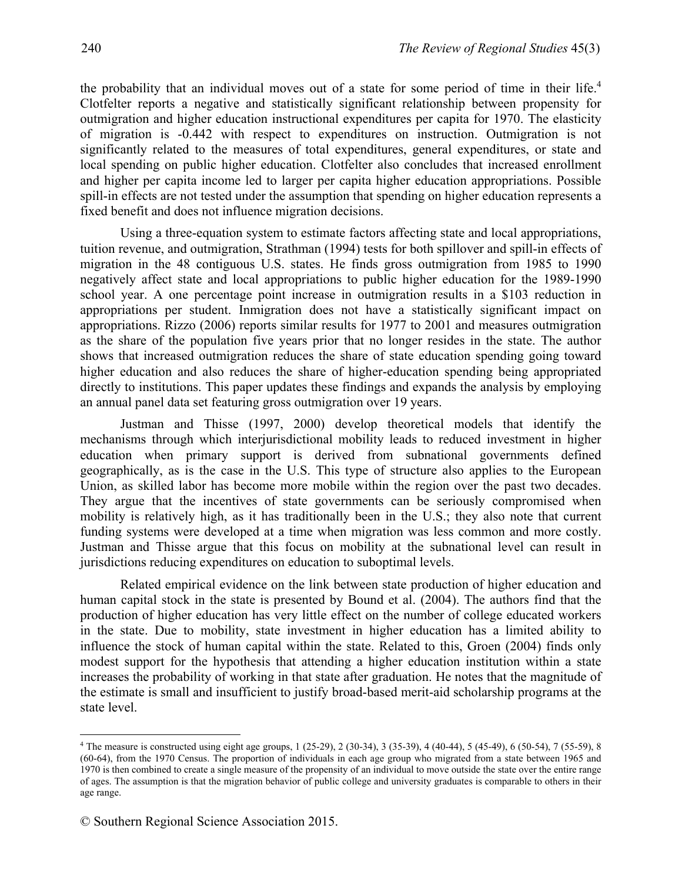the probability that an individual moves out of a state for some period of time in their life.4 Clotfelter reports a negative and statistically significant relationship between propensity for outmigration and higher education instructional expenditures per capita for 1970. The elasticity of migration is -0.442 with respect to expenditures on instruction. Outmigration is not significantly related to the measures of total expenditures, general expenditures, or state and local spending on public higher education. Clotfelter also concludes that increased enrollment and higher per capita income led to larger per capita higher education appropriations. Possible spill-in effects are not tested under the assumption that spending on higher education represents a fixed benefit and does not influence migration decisions.

Using a three-equation system to estimate factors affecting state and local appropriations, tuition revenue, and outmigration, Strathman (1994) tests for both spillover and spill-in effects of migration in the 48 contiguous U.S. states. He finds gross outmigration from 1985 to 1990 negatively affect state and local appropriations to public higher education for the 1989-1990 school year. A one percentage point increase in outmigration results in a \$103 reduction in appropriations per student. Inmigration does not have a statistically significant impact on appropriations. Rizzo (2006) reports similar results for 1977 to 2001 and measures outmigration as the share of the population five years prior that no longer resides in the state. The author shows that increased outmigration reduces the share of state education spending going toward higher education and also reduces the share of higher-education spending being appropriated directly to institutions. This paper updates these findings and expands the analysis by employing an annual panel data set featuring gross outmigration over 19 years.

Justman and Thisse (1997, 2000) develop theoretical models that identify the mechanisms through which interjurisdictional mobility leads to reduced investment in higher education when primary support is derived from subnational governments defined geographically, as is the case in the U.S. This type of structure also applies to the European Union, as skilled labor has become more mobile within the region over the past two decades. They argue that the incentives of state governments can be seriously compromised when mobility is relatively high, as it has traditionally been in the U.S.; they also note that current funding systems were developed at a time when migration was less common and more costly. Justman and Thisse argue that this focus on mobility at the subnational level can result in jurisdictions reducing expenditures on education to suboptimal levels.

Related empirical evidence on the link between state production of higher education and human capital stock in the state is presented by Bound et al. (2004). The authors find that the production of higher education has very little effect on the number of college educated workers in the state. Due to mobility, state investment in higher education has a limited ability to influence the stock of human capital within the state. Related to this, Groen (2004) finds only modest support for the hypothesis that attending a higher education institution within a state increases the probability of working in that state after graduation. He notes that the magnitude of the estimate is small and insufficient to justify broad-based merit-aid scholarship programs at the state level.

1

<sup>4</sup> The measure is constructed using eight age groups, 1 (25-29), 2 (30-34), 3 (35-39), 4 (40-44), 5 (45-49), 6 (50-54), 7 (55-59), 8 (60-64), from the 1970 Census. The proportion of individuals in each age group who migrated from a state between 1965 and 1970 is then combined to create a single measure of the propensity of an individual to move outside the state over the entire range of ages. The assumption is that the migration behavior of public college and university graduates is comparable to others in their age range.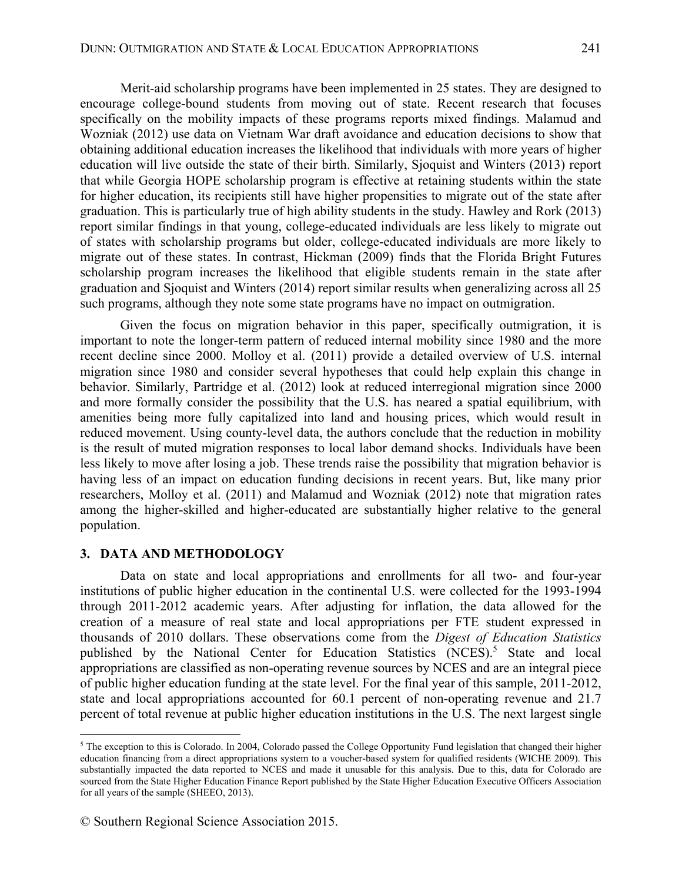Merit-aid scholarship programs have been implemented in 25 states. They are designed to encourage college-bound students from moving out of state. Recent research that focuses specifically on the mobility impacts of these programs reports mixed findings. Malamud and Wozniak (2012) use data on Vietnam War draft avoidance and education decisions to show that obtaining additional education increases the likelihood that individuals with more years of higher education will live outside the state of their birth. Similarly, Sjoquist and Winters (2013) report that while Georgia HOPE scholarship program is effective at retaining students within the state for higher education, its recipients still have higher propensities to migrate out of the state after graduation. This is particularly true of high ability students in the study. Hawley and Rork (2013) report similar findings in that young, college-educated individuals are less likely to migrate out of states with scholarship programs but older, college-educated individuals are more likely to migrate out of these states. In contrast, Hickman (2009) finds that the Florida Bright Futures scholarship program increases the likelihood that eligible students remain in the state after graduation and Sjoquist and Winters (2014) report similar results when generalizing across all 25 such programs, although they note some state programs have no impact on outmigration.

Given the focus on migration behavior in this paper, specifically outmigration, it is important to note the longer-term pattern of reduced internal mobility since 1980 and the more recent decline since 2000. Molloy et al. (2011) provide a detailed overview of U.S. internal migration since 1980 and consider several hypotheses that could help explain this change in behavior. Similarly, Partridge et al. (2012) look at reduced interregional migration since 2000 and more formally consider the possibility that the U.S. has neared a spatial equilibrium, with amenities being more fully capitalized into land and housing prices, which would result in reduced movement. Using county-level data, the authors conclude that the reduction in mobility is the result of muted migration responses to local labor demand shocks. Individuals have been less likely to move after losing a job. These trends raise the possibility that migration behavior is having less of an impact on education funding decisions in recent years. But, like many prior researchers, Molloy et al. (2011) and Malamud and Wozniak (2012) note that migration rates among the higher-skilled and higher-educated are substantially higher relative to the general population.

#### **3. DATA AND METHODOLOGY**

 $\overline{a}$ 

Data on state and local appropriations and enrollments for all two- and four-year institutions of public higher education in the continental U.S. were collected for the 1993-1994 through 2011-2012 academic years. After adjusting for inflation, the data allowed for the creation of a measure of real state and local appropriations per FTE student expressed in thousands of 2010 dollars. These observations come from the *Digest of Education Statistics* published by the National Center for Education Statistics (NCES).<sup>5</sup> State and local appropriations are classified as non-operating revenue sources by NCES and are an integral piece of public higher education funding at the state level. For the final year of this sample, 2011-2012, state and local appropriations accounted for 60.1 percent of non-operating revenue and 21.7 percent of total revenue at public higher education institutions in the U.S. The next largest single

<sup>&</sup>lt;sup>5</sup> The exception to this is Colorado. In 2004, Colorado passed the College Opportunity Fund legislation that changed their higher education financing from a direct appropriations system to a voucher-based system for qualified residents (WICHE 2009). This substantially impacted the data reported to NCES and made it unusable for this analysis. Due to this, data for Colorado are sourced from the State Higher Education Finance Report published by the State Higher Education Executive Officers Association for all years of the sample (SHEEO, 2013).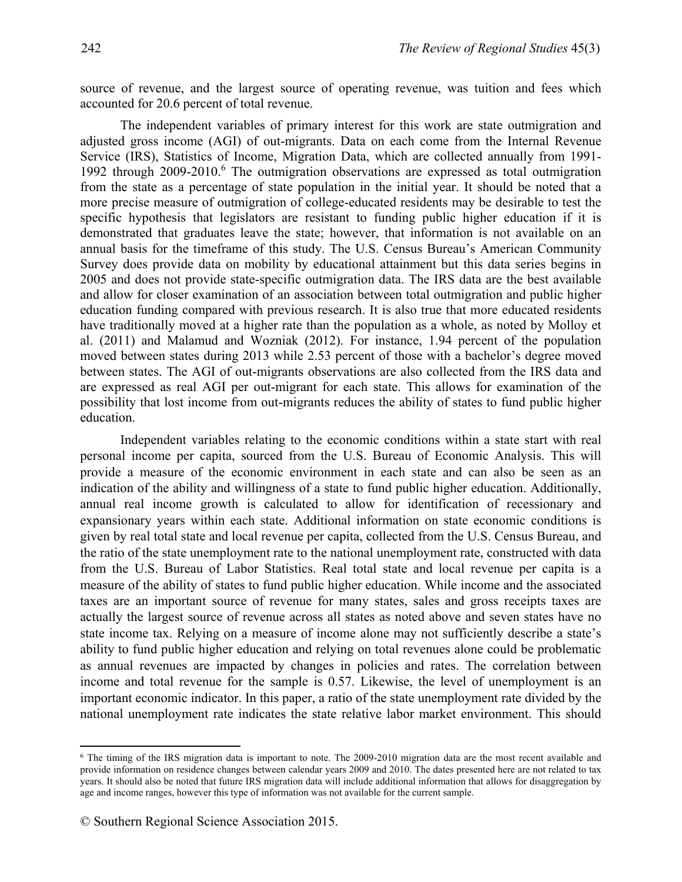source of revenue, and the largest source of operating revenue, was tuition and fees which accounted for 20.6 percent of total revenue.

The independent variables of primary interest for this work are state outmigration and adjusted gross income (AGI) of out-migrants. Data on each come from the Internal Revenue Service (IRS), Statistics of Income, Migration Data, which are collected annually from 1991- 1992 through 2009-2010.<sup>6</sup> The outmigration observations are expressed as total outmigration from the state as a percentage of state population in the initial year. It should be noted that a more precise measure of outmigration of college-educated residents may be desirable to test the specific hypothesis that legislators are resistant to funding public higher education if it is demonstrated that graduates leave the state; however, that information is not available on an annual basis for the timeframe of this study. The U.S. Census Bureau's American Community Survey does provide data on mobility by educational attainment but this data series begins in 2005 and does not provide state-specific outmigration data. The IRS data are the best available and allow for closer examination of an association between total outmigration and public higher education funding compared with previous research. It is also true that more educated residents have traditionally moved at a higher rate than the population as a whole, as noted by Molloy et al. (2011) and Malamud and Wozniak (2012). For instance, 1.94 percent of the population moved between states during 2013 while 2.53 percent of those with a bachelor's degree moved between states. The AGI of out-migrants observations are also collected from the IRS data and are expressed as real AGI per out-migrant for each state. This allows for examination of the possibility that lost income from out-migrants reduces the ability of states to fund public higher education.

Independent variables relating to the economic conditions within a state start with real personal income per capita, sourced from the U.S. Bureau of Economic Analysis. This will provide a measure of the economic environment in each state and can also be seen as an indication of the ability and willingness of a state to fund public higher education. Additionally, annual real income growth is calculated to allow for identification of recessionary and expansionary years within each state. Additional information on state economic conditions is given by real total state and local revenue per capita, collected from the U.S. Census Bureau, and the ratio of the state unemployment rate to the national unemployment rate, constructed with data from the U.S. Bureau of Labor Statistics. Real total state and local revenue per capita is a measure of the ability of states to fund public higher education. While income and the associated taxes are an important source of revenue for many states, sales and gross receipts taxes are actually the largest source of revenue across all states as noted above and seven states have no state income tax. Relying on a measure of income alone may not sufficiently describe a state's ability to fund public higher education and relying on total revenues alone could be problematic as annual revenues are impacted by changes in policies and rates. The correlation between income and total revenue for the sample is 0.57. Likewise, the level of unemployment is an important economic indicator. In this paper, a ratio of the state unemployment rate divided by the national unemployment rate indicates the state relative labor market environment. This should

 $\overline{a}$ 

<sup>&</sup>lt;sup>6</sup> The timing of the IRS migration data is important to note. The 2009-2010 migration data are the most recent available and provide information on residence changes between calendar years 2009 and 2010. The dates presented here are not related to tax years. It should also be noted that future IRS migration data will include additional information that allows for disaggregation by age and income ranges, however this type of information was not available for the current sample.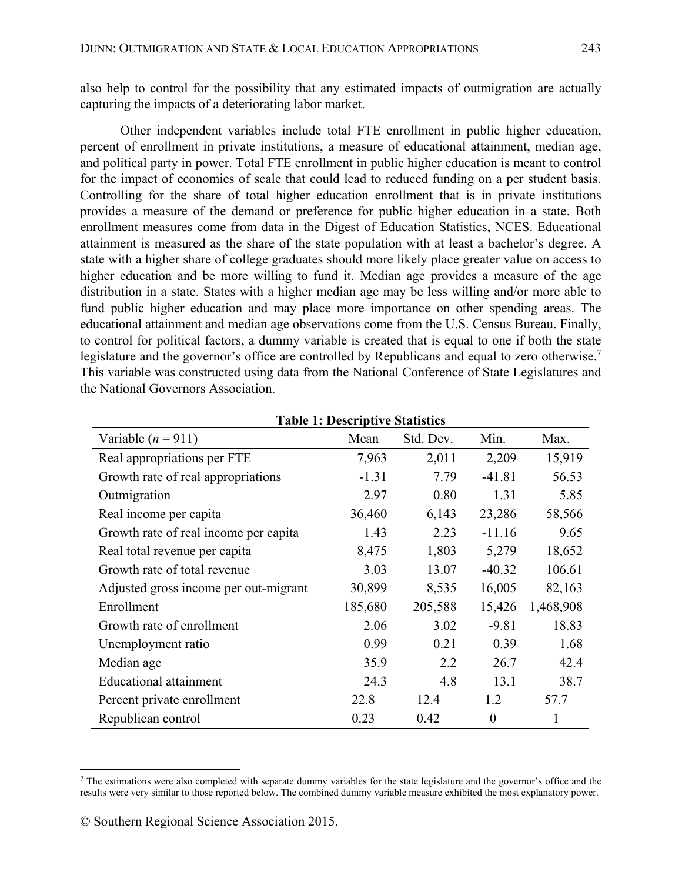also help to control for the possibility that any estimated impacts of outmigration are actually capturing the impacts of a deteriorating labor market.

Other independent variables include total FTE enrollment in public higher education, percent of enrollment in private institutions, a measure of educational attainment, median age, and political party in power. Total FTE enrollment in public higher education is meant to control for the impact of economies of scale that could lead to reduced funding on a per student basis. Controlling for the share of total higher education enrollment that is in private institutions provides a measure of the demand or preference for public higher education in a state. Both enrollment measures come from data in the Digest of Education Statistics, NCES. Educational attainment is measured as the share of the state population with at least a bachelor's degree. A state with a higher share of college graduates should more likely place greater value on access to higher education and be more willing to fund it. Median age provides a measure of the age distribution in a state. States with a higher median age may be less willing and/or more able to fund public higher education and may place more importance on other spending areas. The educational attainment and median age observations come from the U.S. Census Bureau. Finally, to control for political factors, a dummy variable is created that is equal to one if both the state legislature and the governor's office are controlled by Republicans and equal to zero otherwise.<sup>7</sup> This variable was constructed using data from the National Conference of State Legislatures and the National Governors Association.

| Variable $(n = 911)$                  | Mean    | Std. Dev. | Min.             | Max.      |
|---------------------------------------|---------|-----------|------------------|-----------|
| Real appropriations per FTE           | 7,963   | 2,011     | 2,209            | 15,919    |
| Growth rate of real appropriations    | $-1.31$ | 7.79      | $-41.81$         | 56.53     |
| Outmigration                          | 2.97    | 0.80      | 1.31             | 5.85      |
| Real income per capita                | 36,460  | 6,143     | 23,286           | 58,566    |
| Growth rate of real income per capita | 1.43    | 2.23      | $-11.16$         | 9.65      |
| Real total revenue per capita         | 8,475   | 1,803     | 5,279            | 18,652    |
| Growth rate of total revenue          | 3.03    | 13.07     | $-40.32$         | 106.61    |
| Adjusted gross income per out-migrant | 30,899  | 8,535     | 16,005           | 82,163    |
| Enrollment                            | 185,680 | 205,588   | 15,426           | 1,468,908 |
| Growth rate of enrollment             | 2.06    | 3.02      | $-9.81$          | 18.83     |
| Unemployment ratio                    | 0.99    | 0.21      | 0.39             | 1.68      |
| Median age                            | 35.9    | 2.2       | 26.7             | 42.4      |
| Educational attainment                | 24.3    | 4.8       | 13.1             | 38.7      |
| Percent private enrollment            | 22.8    | 12.4      | 1.2              | 57.7      |
| Republican control                    | 0.23    | 0.42      | $\boldsymbol{0}$ | 1         |

|  |  |  | <b>Table 1: Descriptive Statistics</b> |
|--|--|--|----------------------------------------|
|--|--|--|----------------------------------------|

 $\overline{a}$ 

<sup>7</sup> The estimations were also completed with separate dummy variables for the state legislature and the governor's office and the results were very similar to those reported below. The combined dummy variable measure exhibited the most explanatory power.

<sup>©</sup> Southern Regional Science Association 2015.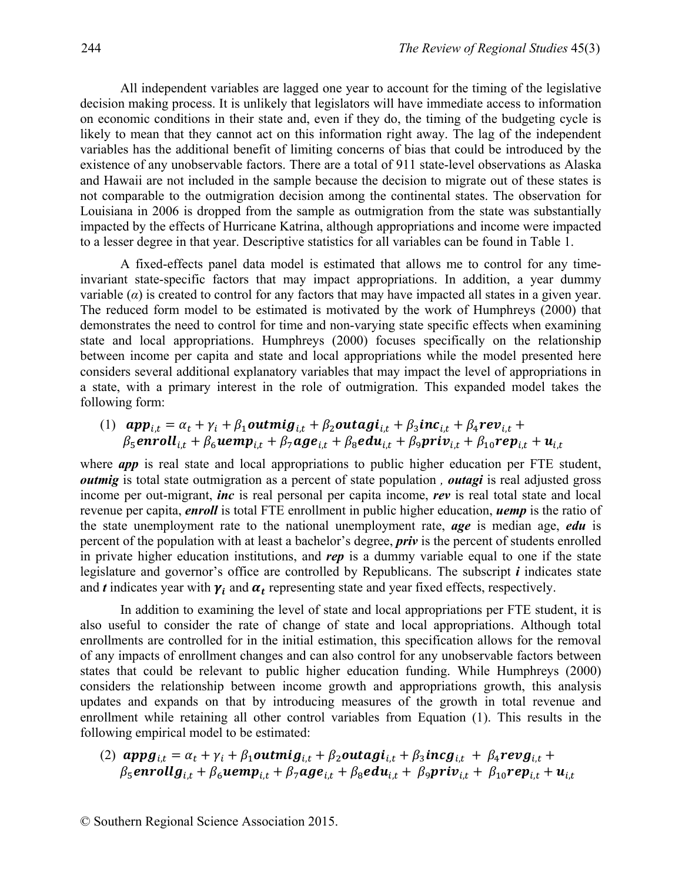All independent variables are lagged one year to account for the timing of the legislative decision making process. It is unlikely that legislators will have immediate access to information on economic conditions in their state and, even if they do, the timing of the budgeting cycle is likely to mean that they cannot act on this information right away. The lag of the independent variables has the additional benefit of limiting concerns of bias that could be introduced by the existence of any unobservable factors. There are a total of 911 state-level observations as Alaska and Hawaii are not included in the sample because the decision to migrate out of these states is not comparable to the outmigration decision among the continental states. The observation for Louisiana in 2006 is dropped from the sample as outmigration from the state was substantially impacted by the effects of Hurricane Katrina, although appropriations and income were impacted to a lesser degree in that year. Descriptive statistics for all variables can be found in Table 1.

A fixed-effects panel data model is estimated that allows me to control for any timeinvariant state-specific factors that may impact appropriations. In addition, a year dummy variable  $\alpha$ ) is created to control for any factors that may have impacted all states in a given year. The reduced form model to be estimated is motivated by the work of Humphreys (2000) that demonstrates the need to control for time and non-varying state specific effects when examining state and local appropriations. Humphreys (2000) focuses specifically on the relationship between income per capita and state and local appropriations while the model presented here considers several additional explanatory variables that may impact the level of appropriations in a state, with a primary interest in the role of outmigration. This expanded model takes the following form:

(1)  $app_{i,t} = \alpha_t + \gamma_i + \beta_1$ outmi $g_{i,t} + \beta_2$ outagi $i_{i,t} + \beta_3$ inc $i_{i,t} + \beta_4$ rev $i_{i,t}$  $\beta_5$ enroll<sub>it</sub> +  $\beta_6$ uemp<sub>it</sub> +  $\beta_7$ age<sub>it</sub> +  $\beta_8$ edu<sub>it</sub> +  $\beta_9$ priv<sub>it</sub> +  $\beta_{10}$ rep<sub>it</sub> +  $u_{i,t}$ 

where *app* is real state and local appropriations to public higher education per FTE student, *outmig* is total state outmigration as a percent of state population, *outagi* is real adjusted gross income per out-migrant, *inc* is real personal per capita income, *rev* is real total state and local revenue per capita, *enroll* is total FTE enrollment in public higher education, *uemp* is the ratio of the state unemployment rate to the national unemployment rate, *age* is median age, *edu* is percent of the population with at least a bachelor's degree, *priv* is the percent of students enrolled in private higher education institutions, and *rep* is a dummy variable equal to one if the state legislature and governor's office are controlled by Republicans. The subscript *i* indicates state and  $t$  indicates year with  $\gamma_i$  and  $\alpha_t$  representing state and year fixed effects, respectively.

In addition to examining the level of state and local appropriations per FTE student, it is also useful to consider the rate of change of state and local appropriations. Although total enrollments are controlled for in the initial estimation, this specification allows for the removal of any impacts of enrollment changes and can also control for any unobservable factors between states that could be relevant to public higher education funding. While Humphreys (2000) considers the relationship between income growth and appropriations growth, this analysis updates and expands on that by introducing measures of the growth in total revenue and enrollment while retaining all other control variables from Equation (1). This results in the following empirical model to be estimated:

(2)  $appg_{i,t} = \alpha_t + \gamma_i + \beta_1$ outmi $g_{i,t} + \beta_2$ outagi<sub>i,t</sub> +  $\beta_3$ inc $g_{i,t}$  +  $\beta_4$ rev $g_{i,t}$  +  $\beta_5$ enrollg<sub>it</sub> +  $\beta_6$ uemp<sub>it</sub> +  $\beta_7$ age<sub>it</sub> +  $\beta_8$ edu<sub>it</sub> +  $\beta_9$ priv<sub>it</sub> +  $\beta_{10}$ rep<sub>it</sub> + u<sub>it</sub>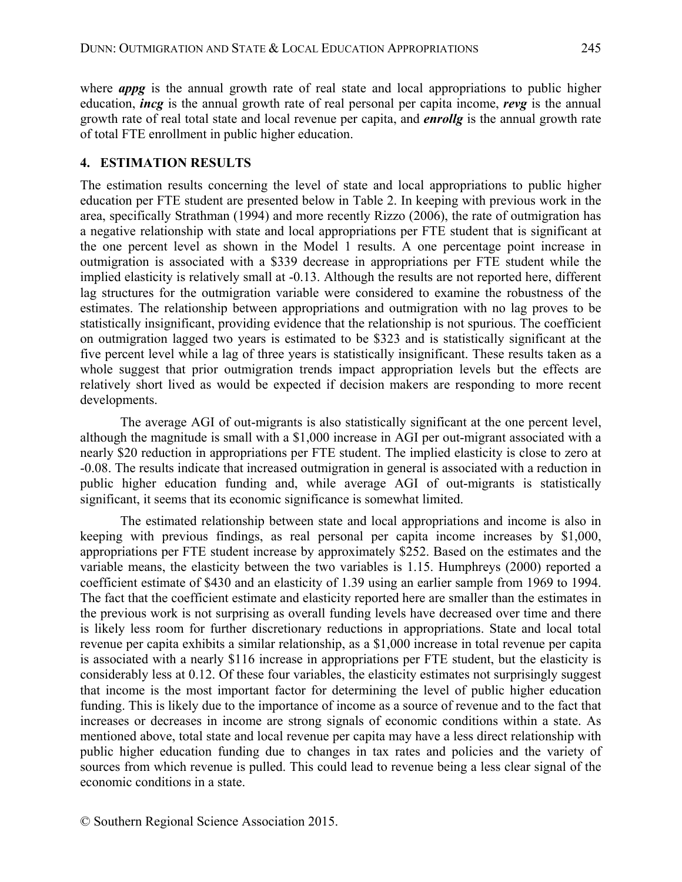where *appg* is the annual growth rate of real state and local appropriations to public higher education, *incg* is the annual growth rate of real personal per capita income, *revg* is the annual growth rate of real total state and local revenue per capita, and *enrollg* is the annual growth rate of total FTE enrollment in public higher education.

### **4. ESTIMATION RESULTS**

The estimation results concerning the level of state and local appropriations to public higher education per FTE student are presented below in Table 2. In keeping with previous work in the area, specifically Strathman (1994) and more recently Rizzo (2006), the rate of outmigration has a negative relationship with state and local appropriations per FTE student that is significant at the one percent level as shown in the Model 1 results. A one percentage point increase in outmigration is associated with a \$339 decrease in appropriations per FTE student while the implied elasticity is relatively small at -0.13. Although the results are not reported here, different lag structures for the outmigration variable were considered to examine the robustness of the estimates. The relationship between appropriations and outmigration with no lag proves to be statistically insignificant, providing evidence that the relationship is not spurious. The coefficient on outmigration lagged two years is estimated to be \$323 and is statistically significant at the five percent level while a lag of three years is statistically insignificant. These results taken as a whole suggest that prior outmigration trends impact appropriation levels but the effects are relatively short lived as would be expected if decision makers are responding to more recent developments.

The average AGI of out-migrants is also statistically significant at the one percent level, although the magnitude is small with a \$1,000 increase in AGI per out-migrant associated with a nearly \$20 reduction in appropriations per FTE student. The implied elasticity is close to zero at -0.08. The results indicate that increased outmigration in general is associated with a reduction in public higher education funding and, while average AGI of out-migrants is statistically significant, it seems that its economic significance is somewhat limited.

The estimated relationship between state and local appropriations and income is also in keeping with previous findings, as real personal per capita income increases by \$1,000, appropriations per FTE student increase by approximately \$252. Based on the estimates and the variable means, the elasticity between the two variables is 1.15. Humphreys (2000) reported a coefficient estimate of \$430 and an elasticity of 1.39 using an earlier sample from 1969 to 1994. The fact that the coefficient estimate and elasticity reported here are smaller than the estimates in the previous work is not surprising as overall funding levels have decreased over time and there is likely less room for further discretionary reductions in appropriations. State and local total revenue per capita exhibits a similar relationship, as a \$1,000 increase in total revenue per capita is associated with a nearly \$116 increase in appropriations per FTE student, but the elasticity is considerably less at 0.12. Of these four variables, the elasticity estimates not surprisingly suggest that income is the most important factor for determining the level of public higher education funding. This is likely due to the importance of income as a source of revenue and to the fact that increases or decreases in income are strong signals of economic conditions within a state. As mentioned above, total state and local revenue per capita may have a less direct relationship with public higher education funding due to changes in tax rates and policies and the variety of sources from which revenue is pulled. This could lead to revenue being a less clear signal of the economic conditions in a state.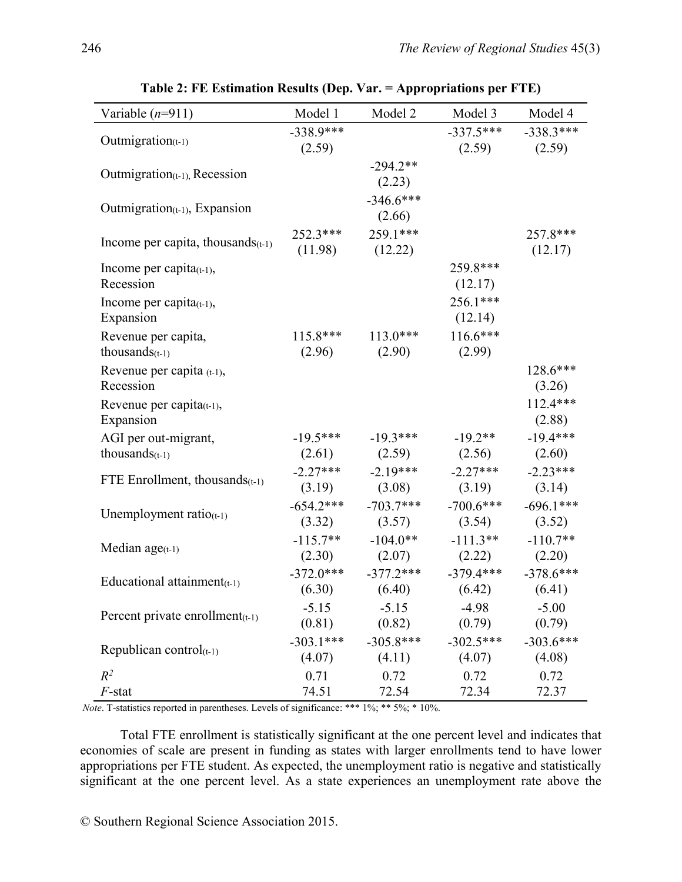| Variable $(n=911)$                   | Model 1     | Model 2               | Model 3                                         | Model 4                 |
|--------------------------------------|-------------|-----------------------|-------------------------------------------------|-------------------------|
|                                      | $-338.9***$ |                       |                                                 | $-337.5***$ $-338.3***$ |
| Outmigration $(t-1)$                 | (2.59)      |                       |                                                 | $(2.59)$ $(2.59)$       |
|                                      |             | $-294.2**$            |                                                 |                         |
| $Out migration_{(t-1)}$ , Recession  |             | (2.23)                |                                                 |                         |
| Outmigration $(t-1)$ , Expansion     |             | $-346.6***$           |                                                 |                         |
|                                      |             | (2.66)                |                                                 |                         |
| Income per capita, thousands $(t-1)$ |             | $252.3***$ $259.1***$ |                                                 | 257.8***                |
|                                      |             | $(11.98)$ $(12.22)$   |                                                 | (12.17)                 |
| Income per capita $(t-1)$ ,          |             |                       | 259.8***                                        |                         |
| Recession                            |             |                       | (12.17)                                         |                         |
| Income per capita $(t-1)$ ,          |             |                       | 256.1***                                        |                         |
| Expansion                            |             |                       | (12.14)                                         |                         |
| Revenue per capita,                  |             | $115.8***$ $113.0***$ | $116.6***$                                      |                         |
| thousands $(t-1)$                    |             | $(2.96)$ $(2.90)$     | (2.99)                                          |                         |
| Revenue per capita (t-1),            |             |                       |                                                 | $128.6***$              |
| Recession                            |             |                       |                                                 | (3.26)                  |
| Revenue per capita $(t-1)$ ,         |             |                       |                                                 | $112.4***$              |
| Expansion                            |             |                       |                                                 | (2.88)                  |
| AGI per out-migrant,                 |             |                       | $-19.5***$ $-19.3***$ $-19.2**$                 | $-19.4***$              |
| thousands $(t-1)$                    |             |                       | $(2.61)$ $(2.59)$ $(2.56)$ $(2.60)$             |                         |
| FTE Enrollment, thousands $(t-1)$    |             |                       | $-2.27***$ $-2.19***$ $-2.27***$ $-2.23***$     |                         |
|                                      |             |                       | $(3.19)$ $(3.08)$ $(3.19)$                      | (3.14)                  |
| Unemployment ratio( $t-1$ )          |             |                       | $-654.2***$ $-703.7***$ $-700.6***$             | $-696.1***$             |
|                                      |             |                       | $(3.32)$ $(3.57)$ $(3.54)$ $(3.52)$             |                         |
| Median $age_{(t-1)}$                 |             |                       | $-115.7$ ** $-104.0$ ** $-111.3$ ** $-110.7$ ** |                         |
|                                      |             |                       | $(2.30)$ $(2.07)$ $(2.22)$ $(2.20)$             |                         |
| Educational attainment $(t-1)$       |             |                       | $-372.0***$ $-377.2***$ $-379.4***$ $-378.6***$ |                         |
|                                      |             |                       | $(6.30)$ $(6.40)$ $(6.42)$ $(6.41)$             |                         |
| Percent private enrollment $(t-1)$   | $-5.15$     | $-5.15$               | $-4.98$                                         | $-5.00$                 |
|                                      | (0.81)      | (0.82)                | (0.79)                                          | (0.79)                  |
| Republican control $(t-1)$           | $-303.1***$ | $-305.8***$           | $-302.5***$                                     | $-303.6***$             |
|                                      | (4.07)      | (4.11)                | (4.07)                                          | (4.08)                  |
| $R^2$                                | 0.71        | 0.72                  | 0.72                                            | 0.72                    |
| $F$ -stat                            | 74.51       | 72.54                 | 72.34                                           | 72.37                   |

**Table 2: FE Estimation Results (Dep. Var. = Appropriations per FTE)** 

*Note*. T-statistics reported in parentheses. Levels of significance: \*\*\* 1%; \*\* 5%; \* 10%.

Total FTE enrollment is statistically significant at the one percent level and indicates that economies of scale are present in funding as states with larger enrollments tend to have lower appropriations per FTE student. As expected, the unemployment ratio is negative and statistically significant at the one percent level. As a state experiences an unemployment rate above the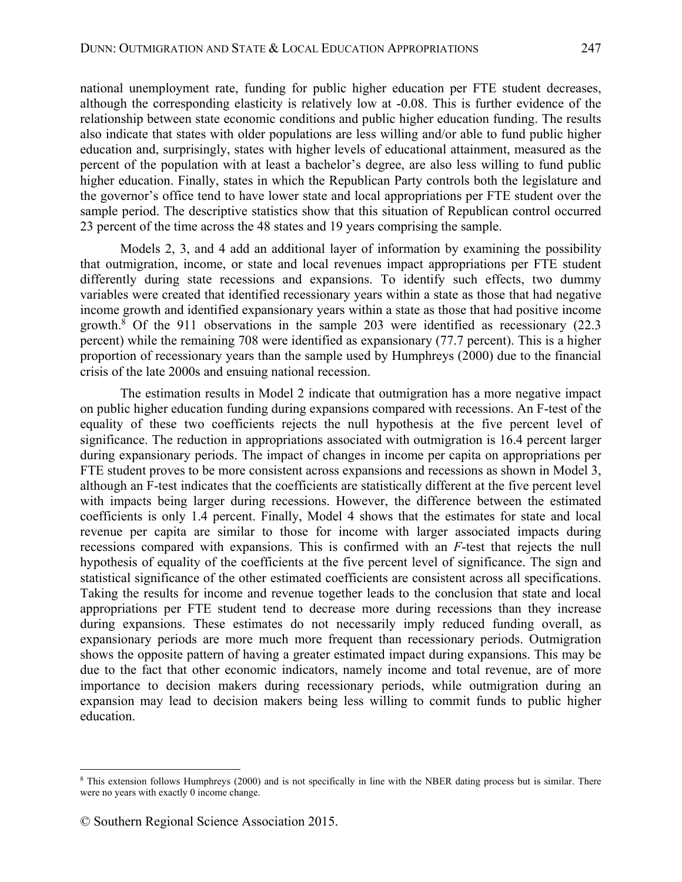national unemployment rate, funding for public higher education per FTE student decreases, although the corresponding elasticity is relatively low at -0.08. This is further evidence of the relationship between state economic conditions and public higher education funding. The results also indicate that states with older populations are less willing and/or able to fund public higher education and, surprisingly, states with higher levels of educational attainment, measured as the percent of the population with at least a bachelor's degree, are also less willing to fund public higher education. Finally, states in which the Republican Party controls both the legislature and the governor's office tend to have lower state and local appropriations per FTE student over the sample period. The descriptive statistics show that this situation of Republican control occurred 23 percent of the time across the 48 states and 19 years comprising the sample.

Models 2, 3, and 4 add an additional layer of information by examining the possibility that outmigration, income, or state and local revenues impact appropriations per FTE student differently during state recessions and expansions. To identify such effects, two dummy variables were created that identified recessionary years within a state as those that had negative income growth and identified expansionary years within a state as those that had positive income growth.<sup>8</sup> Of the 911 observations in the sample 203 were identified as recessionary (22.3 percent) while the remaining 708 were identified as expansionary (77.7 percent). This is a higher proportion of recessionary years than the sample used by Humphreys (2000) due to the financial crisis of the late 2000s and ensuing national recession.

The estimation results in Model 2 indicate that outmigration has a more negative impact on public higher education funding during expansions compared with recessions. An F-test of the equality of these two coefficients rejects the null hypothesis at the five percent level of significance. The reduction in appropriations associated with outmigration is 16.4 percent larger during expansionary periods. The impact of changes in income per capita on appropriations per FTE student proves to be more consistent across expansions and recessions as shown in Model 3, although an F-test indicates that the coefficients are statistically different at the five percent level with impacts being larger during recessions. However, the difference between the estimated coefficients is only 1.4 percent. Finally, Model 4 shows that the estimates for state and local revenue per capita are similar to those for income with larger associated impacts during recessions compared with expansions. This is confirmed with an *F*-test that rejects the null hypothesis of equality of the coefficients at the five percent level of significance. The sign and statistical significance of the other estimated coefficients are consistent across all specifications. Taking the results for income and revenue together leads to the conclusion that state and local appropriations per FTE student tend to decrease more during recessions than they increase during expansions. These estimates do not necessarily imply reduced funding overall, as expansionary periods are more much more frequent than recessionary periods. Outmigration shows the opposite pattern of having a greater estimated impact during expansions. This may be due to the fact that other economic indicators, namely income and total revenue, are of more importance to decision makers during recessionary periods, while outmigration during an expansion may lead to decision makers being less willing to commit funds to public higher education.

 $\overline{a}$ 

<sup>8</sup> This extension follows Humphreys (2000) and is not specifically in line with the NBER dating process but is similar. There were no years with exactly 0 income change.

<sup>©</sup> Southern Regional Science Association 2015.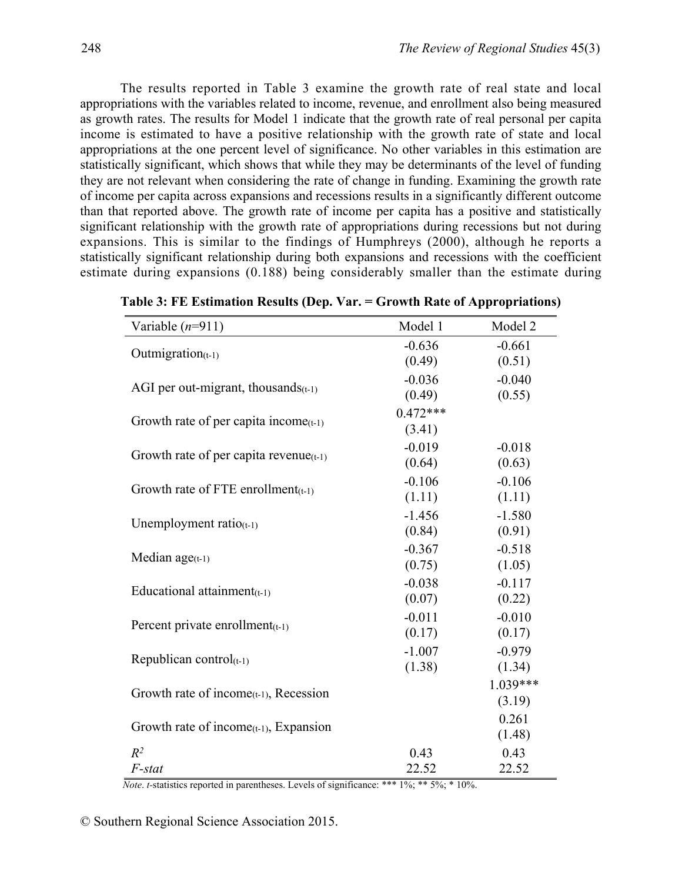The results reported in Table 3 examine the growth rate of real state and local appropriations with the variables related to income, revenue, and enrollment also being measured as growth rates. The results for Model 1 indicate that the growth rate of real personal per capita income is estimated to have a positive relationship with the growth rate of state and local appropriations at the one percent level of significance. No other variables in this estimation are statistically significant, which shows that while they may be determinants of the level of funding they are not relevant when considering the rate of change in funding. Examining the growth rate of income per capita across expansions and recessions results in a significantly different outcome than that reported above. The growth rate of income per capita has a positive and statistically significant relationship with the growth rate of appropriations during recessions but not during expansions. This is similar to the findings of Humphreys (2000), although he reports a statistically significant relationship during both expansions and recessions with the coefficient estimate during expansions (0.188) being considerably smaller than the estimate during

| Variable $(n=911)$                                              | Model 1    | Model 2  |
|-----------------------------------------------------------------|------------|----------|
|                                                                 | $-0.636$   | $-0.661$ |
| Outmigration $(t-1)$                                            | (0.49)     | (0.51)   |
|                                                                 | $-0.036$   | $-0.040$ |
| AGI per out-migrant, thousands $(t-1)$                          | (0.49)     | (0.55)   |
|                                                                 | $0.472***$ |          |
| Growth rate of per capita income $(t-1)$                        | (3.41)     |          |
|                                                                 | $-0.019$   | $-0.018$ |
| Growth rate of per capita revenue( $t-1$ )                      | (0.64)     | (0.63)   |
|                                                                 | $-0.106$   | $-0.106$ |
| Growth rate of FTE enrollment $(t-1)$                           | (1.11)     | (1.11)   |
|                                                                 | $-1.456$   | $-1.580$ |
| Unemployment ratio( $t-1$ )                                     | (0.84)     | (0.91)   |
|                                                                 | $-0.367$   | $-0.518$ |
| Median $age(t-1)$                                               | (0.75)     | (1.05)   |
| Educational attainment $(t-1)$                                  | $-0.038$   | $-0.117$ |
|                                                                 | (0.07)     | (0.22)   |
| Percent private enrollment $(t-1)$                              | $-0.011$   | $-0.010$ |
|                                                                 | (0.17)     | (0.17)   |
| Republican control $(t-1)$                                      | $-1.007$   | $-0.979$ |
|                                                                 | (1.38)     | (1.34)   |
| Growth rate of income $(t-1)$ , Recession                       |            | 1.039*** |
|                                                                 |            | (3.19)   |
| Growth rate of income <sub><math>(t-1)</math></sub> , Expansion |            | 0.261    |
|                                                                 |            | (1.48)   |
| $R^2$                                                           | 0.43       | 0.43     |
| F-stat                                                          | 22.52      | 22.52    |

**Table 3: FE Estimation Results (Dep. Var. = Growth Rate of Appropriations)** 

*Note. t*-statistics reported in parentheses. Levels of significance: \*\*\* 1%; \*\* 5%; \* 10%.

© Southern Regional Science Association 2015.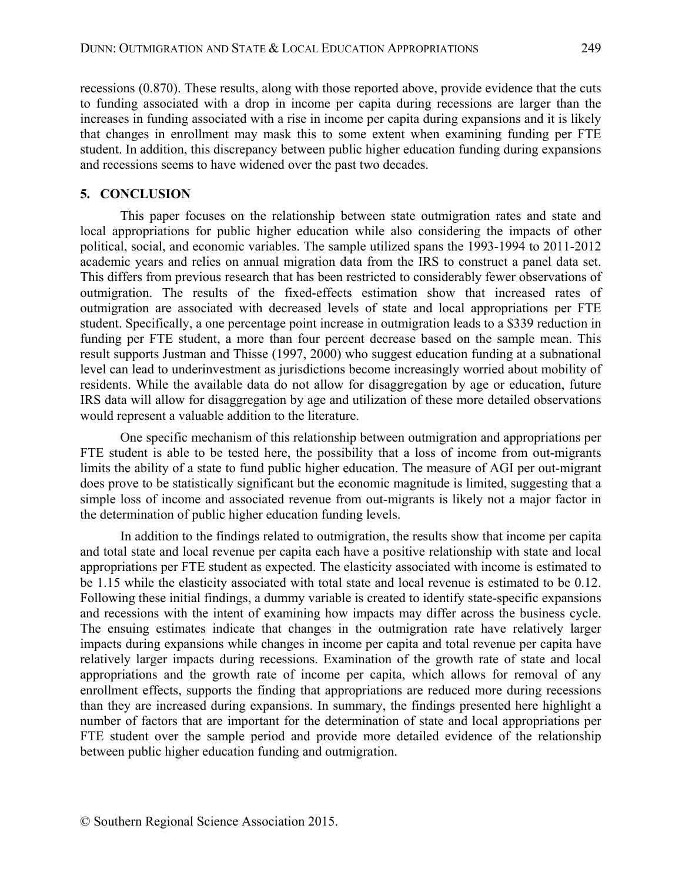recessions (0.870). These results, along with those reported above, provide evidence that the cuts to funding associated with a drop in income per capita during recessions are larger than the increases in funding associated with a rise in income per capita during expansions and it is likely that changes in enrollment may mask this to some extent when examining funding per FTE student. In addition, this discrepancy between public higher education funding during expansions and recessions seems to have widened over the past two decades.

#### **5. CONCLUSION**

This paper focuses on the relationship between state outmigration rates and state and local appropriations for public higher education while also considering the impacts of other political, social, and economic variables. The sample utilized spans the 1993-1994 to 2011-2012 academic years and relies on annual migration data from the IRS to construct a panel data set. This differs from previous research that has been restricted to considerably fewer observations of outmigration. The results of the fixed-effects estimation show that increased rates of outmigration are associated with decreased levels of state and local appropriations per FTE student. Specifically, a one percentage point increase in outmigration leads to a \$339 reduction in funding per FTE student, a more than four percent decrease based on the sample mean. This result supports Justman and Thisse (1997, 2000) who suggest education funding at a subnational level can lead to underinvestment as jurisdictions become increasingly worried about mobility of residents. While the available data do not allow for disaggregation by age or education, future IRS data will allow for disaggregation by age and utilization of these more detailed observations would represent a valuable addition to the literature.

One specific mechanism of this relationship between outmigration and appropriations per FTE student is able to be tested here, the possibility that a loss of income from out-migrants limits the ability of a state to fund public higher education. The measure of AGI per out-migrant does prove to be statistically significant but the economic magnitude is limited, suggesting that a simple loss of income and associated revenue from out-migrants is likely not a major factor in the determination of public higher education funding levels.

In addition to the findings related to outmigration, the results show that income per capita and total state and local revenue per capita each have a positive relationship with state and local appropriations per FTE student as expected. The elasticity associated with income is estimated to be 1.15 while the elasticity associated with total state and local revenue is estimated to be 0.12. Following these initial findings, a dummy variable is created to identify state-specific expansions and recessions with the intent of examining how impacts may differ across the business cycle. The ensuing estimates indicate that changes in the outmigration rate have relatively larger impacts during expansions while changes in income per capita and total revenue per capita have relatively larger impacts during recessions. Examination of the growth rate of state and local appropriations and the growth rate of income per capita, which allows for removal of any enrollment effects, supports the finding that appropriations are reduced more during recessions than they are increased during expansions. In summary, the findings presented here highlight a number of factors that are important for the determination of state and local appropriations per FTE student over the sample period and provide more detailed evidence of the relationship between public higher education funding and outmigration.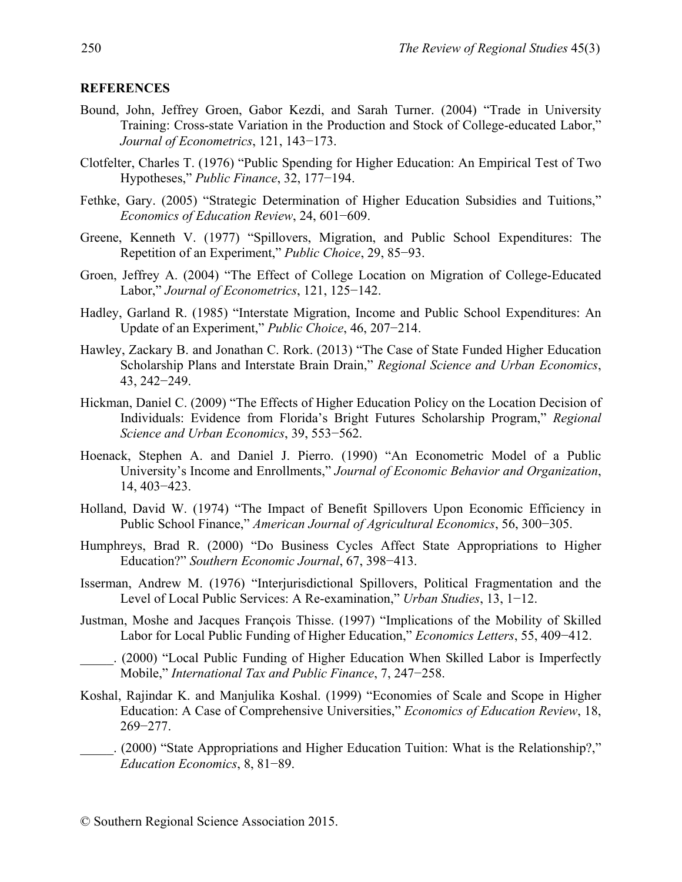#### **REFERENCES**

- Bound, John, Jeffrey Groen, Gabor Kezdi, and Sarah Turner. (2004) "Trade in University Training: Cross-state Variation in the Production and Stock of College-educated Labor," *Journal of Econometrics*, 121, 143−173.
- Clotfelter, Charles T. (1976) "Public Spending for Higher Education: An Empirical Test of Two Hypotheses," *Public Finance*, 32, 177−194.
- Fethke, Gary. (2005) "Strategic Determination of Higher Education Subsidies and Tuitions," *Economics of Education Review*, 24, 601−609.
- Greene, Kenneth V. (1977) "Spillovers, Migration, and Public School Expenditures: The Repetition of an Experiment," *Public Choice*, 29, 85−93.
- Groen, Jeffrey A. (2004) "The Effect of College Location on Migration of College-Educated Labor," *Journal of Econometrics*, 121, 125−142.
- Hadley, Garland R. (1985) "Interstate Migration, Income and Public School Expenditures: An Update of an Experiment," *Public Choice*, 46, 207−214.
- Hawley, Zackary B. and Jonathan C. Rork. (2013) "The Case of State Funded Higher Education Scholarship Plans and Interstate Brain Drain," *Regional Science and Urban Economics*, 43, 242−249.
- Hickman, Daniel C. (2009) "The Effects of Higher Education Policy on the Location Decision of Individuals: Evidence from Florida's Bright Futures Scholarship Program," *Regional Science and Urban Economics*, 39, 553−562.
- Hoenack, Stephen A. and Daniel J. Pierro. (1990) "An Econometric Model of a Public University's Income and Enrollments," *Journal of Economic Behavior and Organization*, 14, 403−423.
- Holland, David W. (1974) "The Impact of Benefit Spillovers Upon Economic Efficiency in Public School Finance," *American Journal of Agricultural Economics*, 56, 300−305.
- Humphreys, Brad R. (2000) "Do Business Cycles Affect State Appropriations to Higher Education?" *Southern Economic Journal*, 67, 398−413.
- Isserman, Andrew M. (1976) "Interjurisdictional Spillovers, Political Fragmentation and the Level of Local Public Services: A Re-examination," *Urban Studies*, 13, 1−12.
- Justman, Moshe and Jacques François Thisse. (1997) "Implications of the Mobility of Skilled Labor for Local Public Funding of Higher Education," *Economics Letters*, 55, 409−412.
	- \_\_\_\_\_. (2000) "Local Public Funding of Higher Education When Skilled Labor is Imperfectly Mobile," *International Tax and Public Finance*, 7, 247−258.
- Koshal, Rajindar K. and Manjulika Koshal. (1999) "Economies of Scale and Scope in Higher Education: A Case of Comprehensive Universities," *Economics of Education Review*, 18, 269−277.
	- \_\_\_\_\_. (2000) "State Appropriations and Higher Education Tuition: What is the Relationship?," *Education Economics*, 8, 81−89.

<sup>©</sup> Southern Regional Science Association 2015.